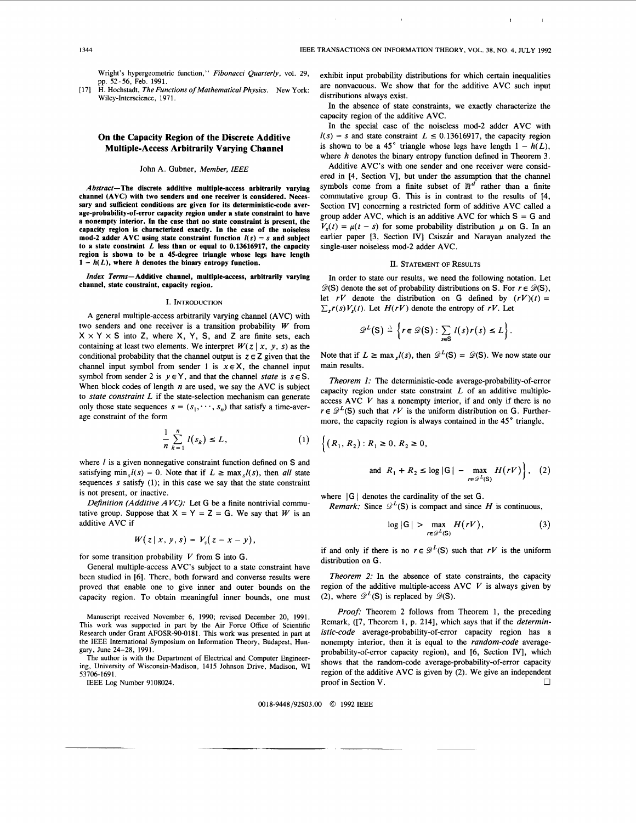Wright's hypergeometric function," *Fibonacci Quarterly,* vol. 29, pp. 52-56, Feb. 1991.

[ 171 H. Hochstadt, *The Functions of Mathematical Physics.* New York: Wiley-Interscience, 1971.

# **On the Capacity Region of the Discrete Additive Multiple-Access Arbitrarily Varying Channel**

## John A. Gubner, *Member,* IEEE

**Abstract-The discrete additive multiple-access arbitrarily varying channel (AVC) with two senders and one receiver is considered. Necessary and sufficient conditions are given for its deterministic-code average-probability-of-error capacity region under a state constraint to have a nonempty interior. In the case that no state constraint is present, the capacity region is characterized exactly. In the case of the noiseless**  mod-2 adder AVC using state constraint function  $I(s) = s$  and subject **to a state constraint** *L* **less than or equal to 0.13616917, the capacity region is shown to be a 45-degree triangle whose legs have length**   $1 - h(L)$ , where *h* denotes the binary entropy function.

*Index Terms-* **Additive channel, multiple-access, arbitrarily varying channel, state constraint, capacity region.** 

### I. INTRODUCTION

A general multiple-access arbitrarily varying channel (AVC) with two senders and one receiver is a transition probability *W* from  $X \times Y \times S$  into Z, where X, Y, S, and Z are finite sets, each containing at least two elements. We interpret  $W(z | x, y, s)$  as the conditional probability that the channel output is  $z \in Z$  given that the channel input symbol from sender 1 is  $x \in X$ , the channel input symbol from sender 2 is  $y \in Y$ , and that the channel *state* is  $s \in S$ . When block codes of length *n* are used, we say the AVC is subject to *state constraint L* if the state-selection mechanism can generate only those state sequences  $s = (s_1, \dots, s_n)$  that satisfy a time-average constraint of the form

$$
\frac{1}{n}\sum_{k=1}^{n}l(s_k)\leq L,\qquad(1)
$$

where *l* is a given nonnegative constraint function defined on *S* and satisfying min,  $l(s) = 0$ . Note that if  $L \ge \max_l l(s)$ , then *all* state sequences **s** satisfy **(1);** in this case we say that the state constraint is not present, or inactive.

*Definition (Additive A* VC): Let G be a finite nontrivial commutative group. Suppose that  $X = Y = Z = G$ . We say that *W* is an additive AVC if

$$
W(z \mid x, y, s) = V_s(z - x - y),
$$

for some transition probability *V* from *S* into G.

General multiple-access AVC's subject to a state constraint have been studied in **[6].** There, both forward and converse results were proved that enable one to give inner and outer bounds on the capacity region. To obtain meaningful inner bounds, one must

Manuscript received November 6, 1990; revised December 20, 1991. This work was supported in part by the Air Force Office of Scientific Research under Grant AFOSR-90-0181. This work was presented in part at the IEEE International Symposium on Information Theory, Budapest, Hungary, June 24-28, 1991.

The author is with the Department of Electrical and Computer Engineering, University of Wisconsin-Madison, 1415 Johnson Drive, Madison, WI 53706- 169 1.

IEEE Log Number 9108024.

exhibit input probability distributions for which certain inequalities are nonvacuous. We show that for the additive AVC such input distributions always exist.

**I**III **I**III **I**II

In the absence of state constraints, we exactly characterize the capacity region of the additive AVC.

In the special case of the noiseless mod-2 adder AVC with  $I(s) = s$  and state constraint  $L \le 0.13616917$ , the capacity region is shown to be a 45° triangle whose legs have length  $1 - h(L)$ , where *h* denotes the binary entropy function defined in Theorem **3.** 

Additive AVC's with one sender and one receiver were considered in [4, Section VI, but under the assumption that the channel symbols come from a finite subset of  $\mathbb{R}^d$  rather than a finite commutative group G. This is in contrast to the results of [4, Section IV] concerning a restricted form of additive AVC called a group adder AVC, which is an additive AVC for which *S* = G and  $V<sub>s</sub>(t) = \mu(t - s)$  for some probability distribution  $\mu$  on G. In an earlier paper [3, Section IV] Csiszár and Narayan analyzed the single-user noiseless mod-2 adder AVC.

## **II. STATEMENT OF RESULTS**

In order to state our results, we need the following notation. Let  $\mathscr{D}(S)$  denote the set of probability distributions on *S*. For  $r \in \mathscr{D}(S)$ , let  $rV$  denote the distribution on G defined by  $(rV)(t) =$  $\sum_{s} r(s) V_{s}(t)$ . Let  $H(rV)$  denote the entropy of *rV*. Let

$$
\mathscr{D}^L(S) \stackrel{\scriptscriptstyle\triangle}{=} \left\{ r \in \mathscr{D}(S) : \sum_{s \in S} l(s) r(s) \leq L \right\}.
$$

Note that if  $L \ge \max_{s} I(s)$ , then  $\mathscr{D}^{L}(S) = \mathscr{D}(S)$ . We now state our main results.

*Theorem 1:* The deterministic-code average-probability-of-error capacity region under state constraint  $L$  of an additive multipleaccess AVC *V* has a nonempty interior, if and only if there is no  $r \in \mathscr{D}^L(S)$  such that  $rV$  is the uniform distribution on G. Furthermore, the capacity region is always contained in the **45"** triangle,

$$
\left\{ (R_1, R_2) : R_1 \ge 0, R_2 \ge 0,
$$
  
and 
$$
R_1 + R_2 \le \log |G| - \max_{r \in \mathcal{P}^L(S)} H(rV) \right\}, (2)
$$

where  $|G|$  denotes the cardinality of the set G.

*Remark:* Since  $\mathscr{D}^L(S)$  is compact and since *H* is continuous,

$$
\log |G| > \max_{r \in \mathscr{D}^L(S)} H(rV), \tag{3}
$$

if and only if there is no  $r \in \mathcal{D}^L(S)$  such that  $rV$  is the uniform distribution on G.

*Theorem 2:* In the absence of state constraints, the capacity region of the additive multiple-access AVC *V* is always given by (2), where  $\mathscr{D}^L(S)$  is replaced by  $\mathscr{D}(S)$ .

Proof: Theorem 2 follows from Theorem **1,** the preceding Remark, ([7, Theorem 1, p. 214], which says that if the *deterministic-code* average-probability-of-error capacity region has a nonempty interior, then it is equal to the *random-code* averageprobability-of-error capacity region), and **[6,** Section IV], which shows that the random-code average-probability-of-error capacity region of the additive AVC is given by (2). We give an independent proof in Section V.

0018-9448/92\$03.00 *0* 1992 IEEE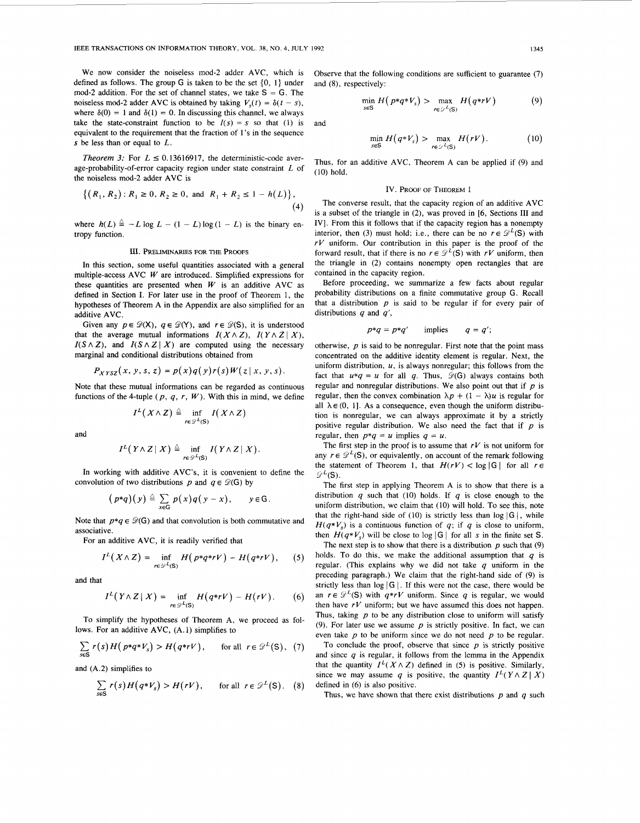We now consider the noiseless mod-2 adder AVC, which is defined as follows. The group *G* is taken to be the set (0, **1)** under mod-2 addition. For the set of channel states, we take S = *G.* The noiseless mod-2 adder AVC is obtained by taking  $V_s(t) = \delta(t - s)$ , where  $\delta(0) = 1$  and  $\delta(1) = 0$ . In discussing this channel, we always take the state-constraint function to be  $I(s) = s$  so that (1) is and equivalent to the requirement that the fraction of **1's** in the sequence **s** be less than **or** equal to *L.* 

*Theorem 3:* For  $L \le 0.13616917$ , the deterministic-code average-probability-of-error capacity region under state constraint *L* of the noiseless mod-2 adder AVC is

$$
\{(R_1, R_2) : R_1 \ge 0, R_2 \ge 0, \text{ and } R_1 + R_2 \le 1 - h(L)\},\tag{4}
$$

where  $h(L) \triangleq -L \log L - (1 - L) \log (1 - L)$  is the binary entropy function.

#### 111. PRELIMINARIES FOR THE **PROOFS**

In this section, some useful quantities associated with a general multiple-access AVC *W* are introduced. Simplified expressions for these quantities are presented when  $W$  is an additive AVC as defined in Section **I.** For later use in the proof of Theorem 1, the hypotheses of Theorem A in the Appendix are also simplified for an additive AVC.

Given any  $p \in \mathcal{D}(X)$ ,  $q \in \mathcal{D}(Y)$ , and  $r \in \mathcal{D}(S)$ , it is understood that the average mutual informations  $I(X \wedge Z)$ ,  $I(Y \wedge Z | X)$ ,  $I(S \wedge Z)$ , and  $I(S \wedge Z | X)$  are computed using the necessary marginal and conditional distributions obtained from

$$
P_{XYSZ}(x, y, s, z) = p(x)q(y)r(s)W(z|x, y, s).
$$

Note that these mutual informations can be regarded as continuous functions of the 4-tuple  $(p, q, r, W)$ . With this in mind, we define

$$
I^L(X \wedge Z) \triangleq \inf_{r \in \mathscr{D}^L(\mathbf{S})} I(X \wedge Z)
$$

and

$$
I^L(Y \wedge Z \mid X) \triangleq \inf_{r \in \mathscr{D}^L(\mathbf{S})} I(Y \wedge Z \mid X).
$$

In working with additive AVC's, it is convenient to define the convolution of two distributions *p* and  $q \in \mathcal{D}(G)$  by

$$
(p * q)(y) \triangleq \sum_{x \in G} p(x) q(y - x), \quad y \in G.
$$

Note that  $p * q \in \mathcal{D}(G)$  and that convolution is both commutative and associative.

For an additive AVC, it is readily verified that

$$
I^{L}(X\wedge Z)=\inf_{r\in\mathscr{D}^{L}(S)}H(p*q*rV)-H(q*rV),\qquad(5)
$$

and that

$$
I^{L}(Y\wedge Z\mid X)=\inf_{r\in\mathscr{D}^{L}(S)}H(q*rV)-H(rV). \qquad (6)
$$

To simplify the hypotheses of Theorem A, we proceed as follows. For an additive AVC, **(A.** 1) simplifies to

$$
\sum_{s\in S} r(s) H(p*q*V_s) > H(q*rV), \quad \text{for all } r \in \mathcal{D}^L(S), (7)
$$

and (A.2) simplifies to

$$
\sum_{s \in S} r(s) H(q * V_s) > H(rV), \quad \text{for all } r \in \mathcal{D}^L(S). \quad (8)
$$

Observe that the following conditions are sufficient to guarantee *(7)*  and **(8),** respectively:

$$
\min_{s \in S} H(p \ast q \ast V_s) > \max_{r \in \mathcal{L}^L(S)} H(q \ast rV) \tag{9}
$$

$$
\min_{s \in S} H(q^*V_s) > \max_{r \in \mathcal{L}(S)} H(rV). \tag{10}
$$

Thus, for an additive AVC, Theorem A can be applied if **(9)** and **(10)** hold.

## IV. PROOF OF THEOREM 1

The converse result, that the capacity region of an additive AVC is a subset of the triangle in (2), was proved in **[6,** Sections **111** and IV]. From this it follows that if the capacity region has a nonempty interior, then (3) must hold; i.e., there can be no  $r \in \mathcal{D}^L(S)$  with *rV* uniform. Our contribution in this paper is the proof of the forward result, that if there is no  $r \in \mathcal{D}^L(S)$  with  $rV$  uniform, then the triangle in (2) contains nonempty open rectangles that are contained in the capacity region.

Before proceeding, we summarize a few facts about regular probability distributions on a finite commutative group G. Recall that a distribution  $p$  is said to be regular if for every pair of distributions *q* and *q',* 

$$
p^*q = p^*q' \qquad \text{implies} \qquad q = q';
$$

otherwise,  $p$  is said to be nonregular. First note that the point mass concentrated on the additive identity element is regular. Next, the uniform distribution, *U,* is always nonregular; this follows from the fact that  $u * q = u$  for all q. Thus,  $\mathcal{D}(G)$  always contains both regular and nonregular distributions. We **also** point out that if *p* is regular, then the convex combination  $\lambda p + (1 - \lambda)u$  is regular for all  $\lambda \in (0, 1]$ . As a consequence, even though the uniform distribution is nonregular, we can always approximate it by a strictly positive regular distribution. We also need the fact that if *p* is regular, then  $p * q = u$  implies  $q = u$ .

The first step in the proof is to assume that  $rV$  is not uniform for any  $r \in \mathcal{D}^L(S)$ , or equivalently, on account of the remark following the statement of Theorem 1, that  $H(rV) < \log |G|$  for all  $r \in$  $Q^L(S)$ .

The first step in applying Theorem A is to show that there is a distribution *q* such that **(10)** holds. If *4* is close enough to the uniform distribution, we claim that (10) will hold. To see this, note that the right-hand side of (10) is strictly less than  $log |G|$ , while  $H(q^*V_s)$  is a continuous function of q; if q is close to uniform, then  $H(q*V_s)$  will be close to log | G | for all s in the finite set S.

The next step is to show that there is a distribution  $p$  such that  $(9)$ *holds.* To do this, we make the additional assumption that  $q$  is *regular.* (This explains why we did not take  $q$  uniform in the preceding paragraph.) We claim that the right-hand side of **(9)** is strictly less than  $log |G|$ . If this were not the case, there would be an  $r \in \mathcal{D}^L(S)$  with  $q^*rV$  uniform. Since q is regular, we would then have *rV* uniform; but we have assumed this does not happen. Thus, taking *p* to be any distribution close to uniform will satisfy **(9).** For later use we assume *p* is strictly positive. In fact, we can even take *p* to be uniform since we do not need *p* to be regular.

To conclude the proof, observe that since  $p$  is strictly positive and since *q* is regular, it follows from the lemma in the Appendix that the quantity  $I^L(X \wedge Z)$  defined in (5) is positive. Similarly, since we may assume *q* is positive, the quantity  $I^L(Y \wedge Z | X)$ *defined in (6) is also positive.* 

Thus, we have shown that there exist distributions *p* and *q* such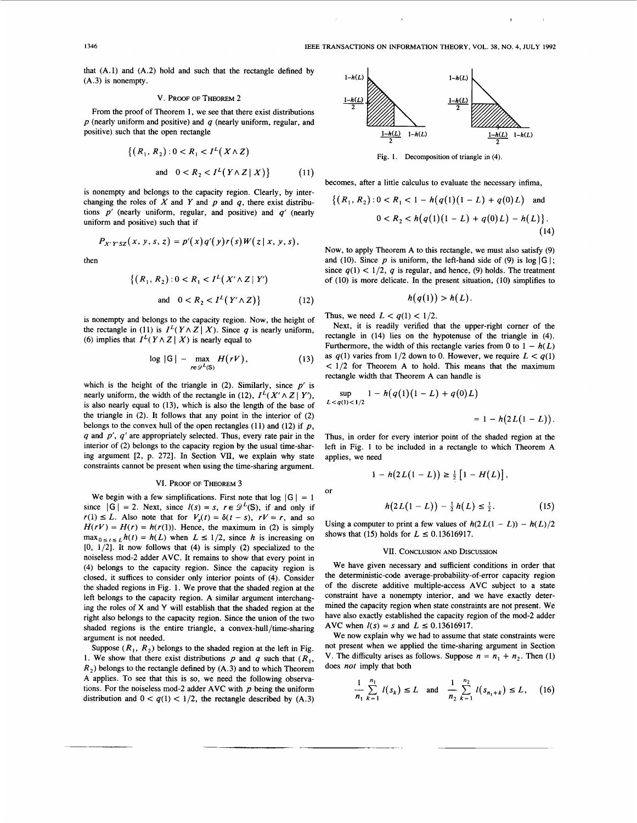**I** I

that  $(A.1)$  and  $(A.2)$  hold and such that the rectangle defined by (A.3) is nonempty.

### V. **PROOF OF** THEDREM 2

From the proof of Theorem **1,** we see that there exist distributions p (nearly uniform and positive) and *q* (nearly uniform, regular, and positive) such that the open rectangle

$$
\{(R_1, R_2) : 0 < R_1 < I^L(X \wedge Z) \\
\text{and } 0 < R_2 < I^L(Y \wedge Z \mid X)\}\tag{11}
$$

is nonempty and belongs to the capacity region. Clearly, by interchanging the roles of  $X$  and  $Y$  and  $p$  and  $q$ , there exist distributions p' (nearly uniform, regular, and positive) and *q'* (nearly uniform and positive) such that if

$$
P_{X'Y'SZ}(x, y, s, z) = p'(x)q'(y)r(s)W(z|x, y, s),
$$

then

$$
\{(R_1, R_2) : 0 < R_1 < I^L(X' \wedge Z \mid Y')
$$
\n
$$
\text{and} \quad 0 < R_2 < I^L(Y' \wedge Z)\} \tag{12}
$$

is nonempty and belongs to the capacity region. Now, the height of the rectangle in (11) is  $I^L(Y \wedge Z | X)$ . Since q is nearly uniform, (6) implies that  $I^L(Y \wedge Z | X)$  is nearly equal to

$$
\log |G| - \max_{r \in \mathscr{D}^L(S)} H(rV), \qquad (13)
$$

which is the height of the triangle in  $(2)$ . Similarly, since  $p'$  is nearly uniform, the width of the rectangle in (12),  $I^L(X' \wedge Z | Y')$ , is also nearly equal to (13), which is also the length of the base of the triangle in (2). It follows that any point in the interior of (2) belongs to the convex hull of the open rectangles  $(11)$  and  $(12)$  if  $p$ , *q* and *p', q'* are appropriately selected. Thus, every rate pair in the interior of (2) belongs to the capacity region by the usual time-sharing argument [2, p. 272]. In Section VII, we explain why state constraints cannot be present when using the time-sharing argument.

## VI. **PROOF OF** THEDREM 3

We begin with a few simplifications. First note that  $log |G| = 1$ since  $|G| = 2$ . Next, since  $l(s) = s$ ,  $r \in \mathcal{D}^L(S)$ , if and only if  $r(1) \leq L$ . Also note that for  $V_s(t) = \delta(t - s)$ ,  $rV = r$ , and so  $H(rV) = H(r) = h(r(1))$ . Hence, the maximum in (2) is simply  $\max_{0 \le t \le L} h(t) = h(L)$  when  $L \le 1/2$ , since *h* is increasing on  $[0, 1/2]$ . It now follows that  $(4)$  is simply  $(2)$  specialized to the noiseless mod-2 adder AVC. It remains to show that every point in (4) belongs to the capacity region. Since the capacity region is closed, it suffices to consider only interior points of (4). Consider the shaded regions in Fig. 1. We prove that the shaded region at the left belongs to the capacity region. A similar argument interchanging the roles of **X** and **Y** will establish that the shaded region at the right also belongs to the capacity region. Since the union of the two shaded regions is the entire triangle, a **convex-hull/time-sharing**  argument is not needed.

Suppose  $(R_1, R_2)$  belongs to the shaded region at the left in Fig. 1. We show that there exist distributions p and q such that  $(R_1, R_2)$ *R,)* belongs to the rectangle defined by (A.3) and to which Theorem A applies. To see that this is so, we need the following observations. For the noiseless mod-2 adder AVC with  $p$  being the uniform distribution and  $0 < q(1) < 1/2$ , the rectangle described by (A.3)



Fig. 1. Decomposition of triangle in (4).

becomes, after a little calculus to evaluate the necessary infima,

$$
\{(R_1, R_2) : 0 < R_1 < 1 - h(q(1)(1 - L) + q(0)L) \quad \text{and} \quad 0 < R_2 < h(q(1)(1 - L) + q(0)L) - h(L)\}.
$$
\n(14)

Now, to apply Theorem A to this rectangle, we must also satisfy (9) and (10). Since  $p$  is uniform, the left-hand side of (9) is log  $|G|$ ; since  $q(1) < 1/2$ , q is regular, and hence, (9) holds. The treatment of (10) is more delicate. In the present situation, (IO) simplifies to function, the left-hand<br>regular, and hence, (9).<br>*h*( $q(1)$ ) >  $h(L)$ .

$$
h(q(1)) > h(L).
$$

Thus, we need  $L < q(1) < 1/2$ .

Next, it is readily verified that the upper-right comer of the rectangle in (14) lies on the hypotenuse of the triangle in (4). Furthermore, the width of this rectangle varies from 0 to  $1 - h(L)$ as  $q(1)$  varies from  $1/2$  down to 0. However, we require  $L < q(1)$  $< 1/2$  for Theorem A to hold. This means that the maximum rectangle width that Theorem A can handle is

$$
\sup_{L < q(1) < 1/2} 1 - h(q(1)(1-L) + q(0)L) = 1 - h(2L(1-L)).
$$

Thus, in order for every interior point of the shaded region at the left in Fig. 1 to be included in a rectangle to which Theorem A applies, we need

$$
1 - h(2L(1 - L)) \geq \frac{1}{2} [1 - H(L)],
$$

or

$$
h(2L(1-L)) - \frac{1}{2}h(L) \leq \frac{1}{2}.
$$
 (15)

Using a computer to print a few values of  $h(2L(1 - L)) - h(L)/2$ shows that (15) holds for  $L \le 0.13616917$ .

#### VII. CONCLUSION **AND** DISCUSSION

We have given necessary and sufficient conditions in order that the deterministic-code average-probability-of-error capacity region of the discrete additive multiple-access AVC subject to a state constraint have a nonempty interior, and we have exactly determined the capacity region when state constraints are not present. We have also exactly established the capacity region of the mod-2 adder AVC when  $I(s) = s$  and  $L \le 0.13616917$ .

We now explain why we had to assume that state constraints were not present when we applied the time-sharing argument in Section V. The difficulty arises as follows. Suppose  $n = n_1 + n_2$ . Then (1) does not imply that both

26. (a) The graph of the graph of the graph with the following matrices:

\n
$$
\frac{1}{n_1} \sum_{k=1}^{n_1} l(s_k) \leq L \quad \text{and} \quad \frac{1}{n_2} \sum_{k=1}^{n_2} l(s_{n_1+k}) \leq L, \quad (16)
$$